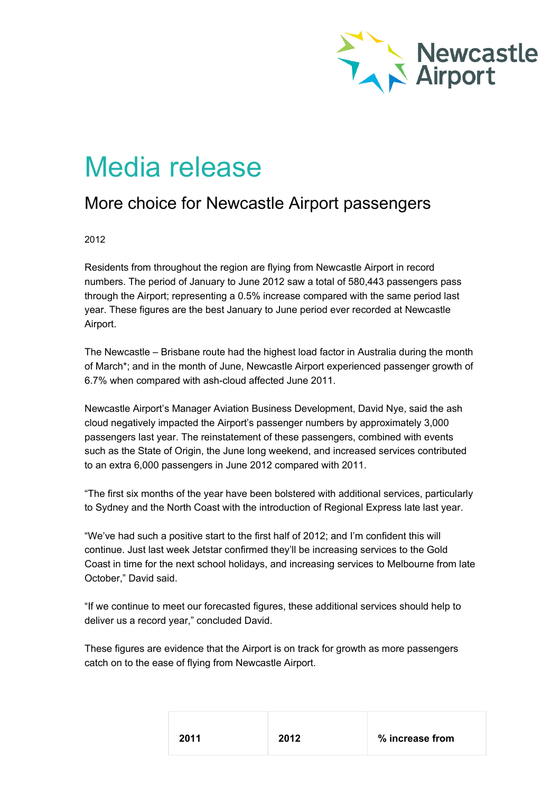

## Media release

## More choice for Newcastle Airport passengers

## 2012

Residents from throughout the region are flying from Newcastle Airport in record numbers. The period of January to June 2012 saw a total of 580,443 passengers pass through the Airport; representing a 0.5% increase compared with the same period last year. These figures are the best January to June period ever recorded at Newcastle Airport.

The Newcastle – Brisbane route had the highest load factor in Australia during the month of March\*; and in the month of June, Newcastle Airport experienced passenger growth of 6.7% when compared with ash-cloud affected June 2011.

Newcastle Airport's Manager Aviation Business Development, David Nye, said the ash cloud negatively impacted the Airport's passenger numbers by approximately 3,000 passengers last year. The reinstatement of these passengers, combined with events such as the State of Origin, the June long weekend, and increased services contributed to an extra 6,000 passengers in June 2012 compared with 2011.

"The first six months of the year have been bolstered with additional services, particularly to Sydney and the North Coast with the introduction of Regional Express late last year.

"We've had such a positive start to the first half of 2012; and I'm confident this will continue. Just last week Jetstar confirmed they'll be increasing services to the Gold Coast in time for the next school holidays, and increasing services to Melbourne from late October," David said.

"If we continue to meet our forecasted figures, these additional services should help to deliver us a record year," concluded David.

These figures are evidence that the Airport is on track for growth as more passengers catch on to the ease of flying from Newcastle Airport.

| 2011 | 2012 | % increase from |
|------|------|-----------------|
|      |      |                 |